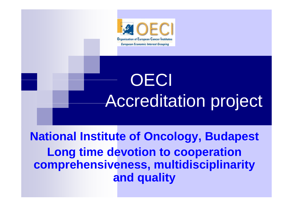

**National Institute of Oncology, Budapest Long time devotion to cooperation comprehensiveness, multidisciplinarity and** quality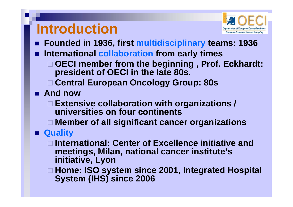# **Introduction**



- **Founded in 1936, first multidisciplinary teams: 1936**
- International collaboration from early times
	- $\blacksquare$  **OECI member from the beginning , Prof. Eckhardt: president of OECI in the late 80s.**
	- **C t l E O l G 80 Central European Oncology Group: 80s**
- **And now**
	- $\blacksquare$  **Extensive collaboration with organizations / / universities on four continents**
	- $\Box$ **Member of all significant cancer organizations**

**Quality**

 $\Box$  **International: Center of Excellence initiative and meetings Milan national cancer institute's meetings, Milan, initiative, Lyon**

**□ Home: ISO system since 2001, Integrated Hospital System (IHS) since 2006**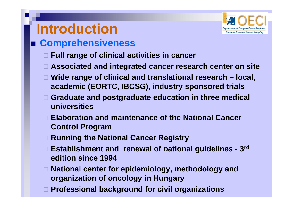# **Introduction**



#### **Comprehensiveness**

- **Full range of clinical activities in cancer**
- **Associated and integrated cancer research center on site**
- $\Box$  Wide range of clinical and translational research local, **academic (EORTC, IBCSG), industry sponsored trials**
- **Graduate and postgraduate education in three medical universities**
- **Elaboration and maintenance of the National Cancer Control Program**
- $\Box$ **Running the National Cancer Registry**
- **Establishment and renewal of national guidelines - 3 rd edition since 1994**
- $\Box$  **National center for epidemiology, methodology and organization of oncology in Hungary**
- $\Box$ **Professional background for civil organizations**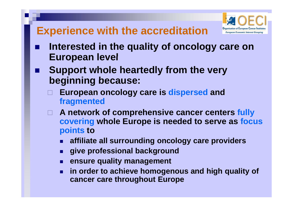### **Organisation of European Cancer Institu European Economic Interest Grouping**

## **Experience with the accreditation**

- **Interested in the quality of oncology care on European level**
- **Support whole heartedly from the very beginning because:**
	- **European oncology care is dispersed and fragmented**
	- $\Box$  **A network of comprehensive cancer centers fully covering whole Europe is needed to serve as focus points to**
		- П **affiliate all surrounding oncology care providers**
		- $\blacksquare$ **give professional background ive**
		- $\blacksquare$ **ensure quality management**
		- $\blacksquare$ **<u><b>E** in order to achieve homogenous and high quality of</u> **cancer care throughout Europe**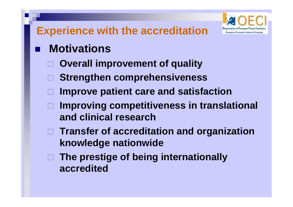## **Experience with the accreditation**



#### **Motivations**

- $\Box$ **Overall improvement of quality**
- $\Box$ **Strengthen comprehensiveness**
- $\Box$ **Improve patient care and satisfaction**
- $\Box$  **I i titi i t l ti l Improving competitiveness in translational and clinical research**
- **Transfer of accreditation and organization knowledge nationwide**
- $\blacksquare$  **The prestige of being internationally accredited**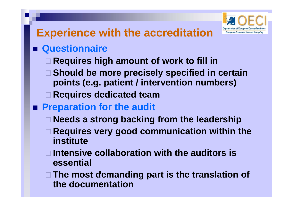### **Organisation of European Cancer European Economic Interest Grouping**

## **Experience with the accreditation**

## **Questionnaire**

- $\Box$ **Requires high amount of work to fill in**
- $\Box$  **Should be more precisely specified in certain**  points (e.g. patient / intervention numbers)
- **□ Requires dedicated team**
- $\blacksquare$  Preparation for the audit
	- $\blacksquare$ **Needs a strong backing from the leadership**
	- $\Box$  **Requires very good communication within the institute**
	- $\Box$  $\Box$  Intensive collaboration with the auditors is **essential**
	- **The most demanding part is the translation of part the documentation**